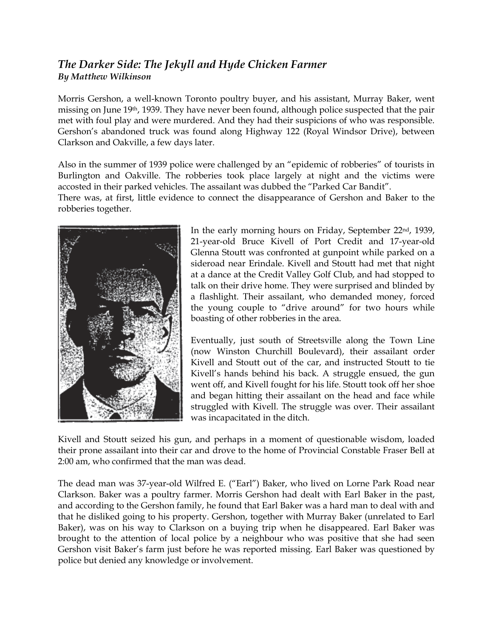## *The Darker Side: The Jekyll and Hyde Chicken Farmer By Matthew Wilkinson*

Morris Gershon, a well-known Toronto poultry buyer, and his assistant, Murray Baker, went missing on June 19th, 1939. They have never been found, although police suspected that the pair met with foul play and were murdered. And they had their suspicions of who was responsible. Gershon's abandoned truck was found along Highway 122 (Royal Windsor Drive), between Clarkson and Oakville, a few days later.

Also in the summer of 1939 police were challenged by an "epidemic of robberies" of tourists in Burlington and Oakville. The robberies took place largely at night and the victims were accosted in their parked vehicles. The assailant was dubbed the "Parked Car Bandit". There was, at first, little evidence to connect the disappearance of Gershon and Baker to the robberies together.



In the early morning hours on Friday, September 22nd, 1939, 21-year-old Bruce Kivell of Port Credit and 17-year-old Glenna Stoutt was confronted at gunpoint while parked on a sideroad near Erindale. Kivell and Stoutt had met that night at a dance at the Credit Valley Golf Club, and had stopped to talk on their drive home. They were surprised and blinded by a flashlight. Their assailant, who demanded money, forced the young couple to "drive around" for two hours while boasting of other robberies in the area.

Eventually, just south of Streetsville along the Town Line (now Winston Churchill Boulevard), their assailant order Kivell and Stoutt out of the car, and instructed Stoutt to tie Kivell's hands behind his back. A struggle ensued, the gun went off, and Kivell fought for his life. Stoutt took off her shoe and began hitting their assailant on the head and face while struggled with Kivell. The struggle was over. Their assailant was incapacitated in the ditch.

Kivell and Stoutt seized his gun, and perhaps in a moment of questionable wisdom, loaded their prone assailant into their car and drove to the home of Provincial Constable Fraser Bell at 2:00 am, who confirmed that the man was dead.

The dead man was 37-year-old Wilfred E. ("Earl") Baker, who lived on Lorne Park Road near Clarkson. Baker was a poultry farmer. Morris Gershon had dealt with Earl Baker in the past, and according to the Gershon family, he found that Earl Baker was a hard man to deal with and that he disliked going to his property. Gershon, together with Murray Baker (unrelated to Earl Baker), was on his way to Clarkson on a buying trip when he disappeared. Earl Baker was brought to the attention of local police by a neighbour who was positive that she had seen Gershon visit Baker's farm just before he was reported missing. Earl Baker was questioned by police but denied any knowledge or involvement.